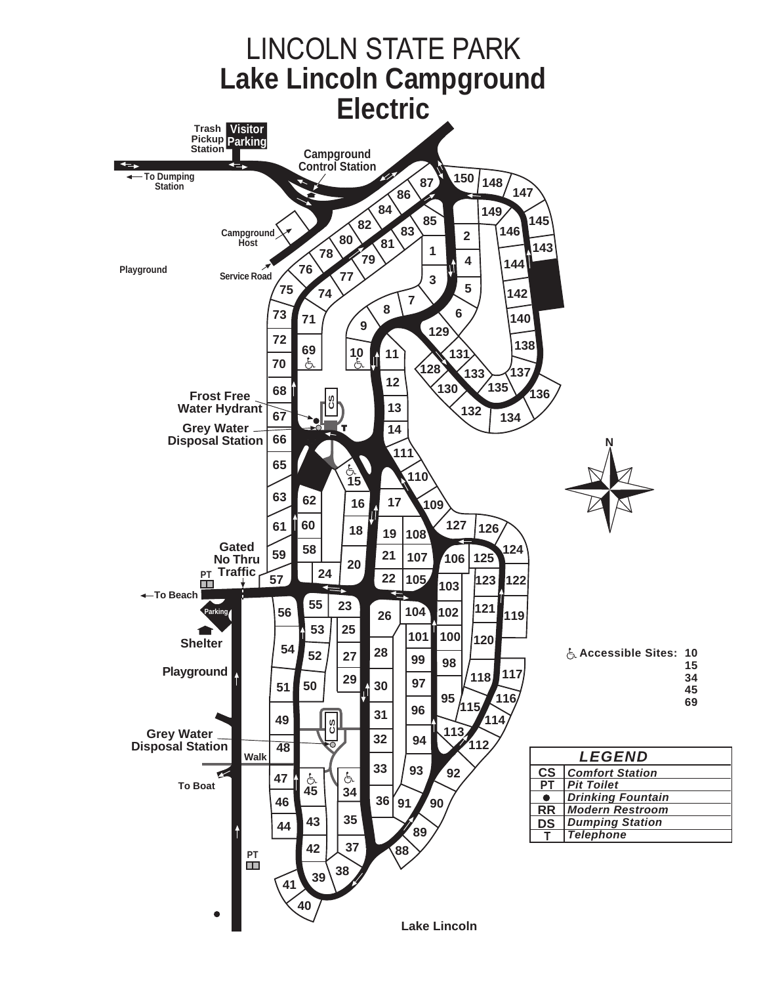